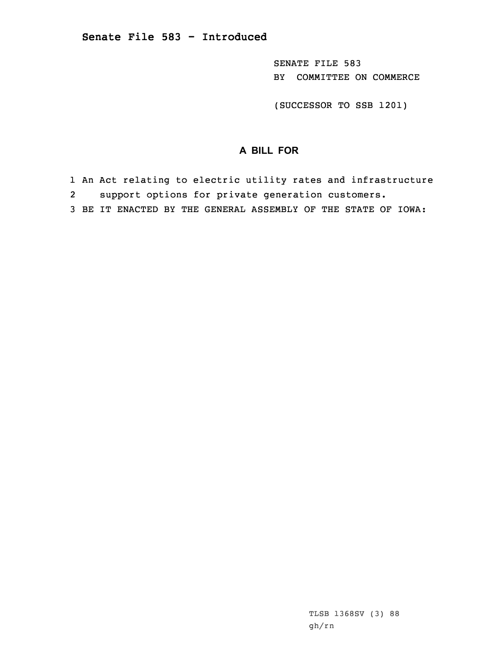SENATE FILE 583 BY COMMITTEE ON COMMERCE

(SUCCESSOR TO SSB 1201)

## **A BILL FOR**

1 An Act relating to electric utility rates and infrastructure

2support options for private generation customers.

3 BE IT ENACTED BY THE GENERAL ASSEMBLY OF THE STATE OF IOWA: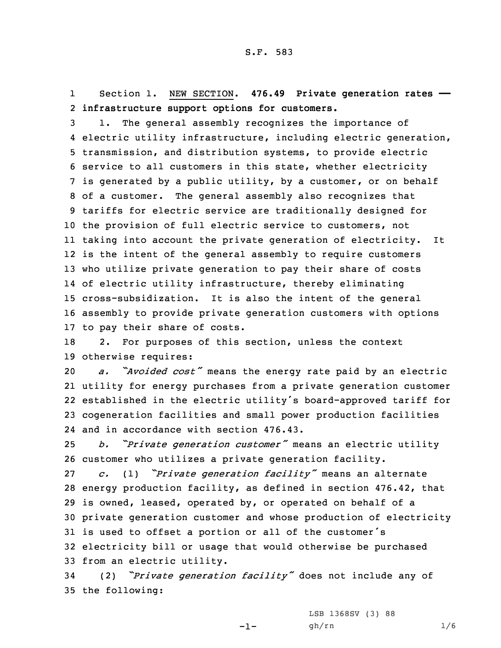1 Section 1. NEW SECTION. **476.49 Private generation rates ——** 2 **infrastructure support options for customers.**

 1. The general assembly recognizes the importance of electric utility infrastructure, including electric generation, transmission, and distribution systems, to provide electric service to all customers in this state, whether electricity is generated by <sup>a</sup> public utility, by <sup>a</sup> customer, or on behalf of <sup>a</sup> customer. The general assembly also recognizes that tariffs for electric service are traditionally designed for the provision of full electric service to customers, not taking into account the private generation of electricity. It is the intent of the general assembly to require customers who utilize private generation to pay their share of costs of electric utility infrastructure, thereby eliminating cross-subsidization. It is also the intent of the general assembly to provide private generation customers with options to pay their share of costs.

18 2. For purposes of this section, unless the context 19 otherwise requires:

 *a. "Avoided cost"* means the energy rate paid by an electric utility for energy purchases from <sup>a</sup> private generation customer established in the electric utility's board-approved tariff for cogeneration facilities and small power production facilities and in accordance with section 476.43.

<sup>25</sup> *b. "Private generation customer"* means an electric utility 26 customer who utilizes <sup>a</sup> private generation facility.

 *c.* (1) *"Private generation facility"* means an alternate energy production facility, as defined in section 476.42, that is owned, leased, operated by, or operated on behalf of <sup>a</sup> private generation customer and whose production of electricity is used to offset <sup>a</sup> portion or all of the customer's electricity bill or usage that would otherwise be purchased from an electric utility.

<sup>34</sup> (2) *"Private generation facility"* does not include any of 35 the following:

LSB 1368SV (3) 88

-1-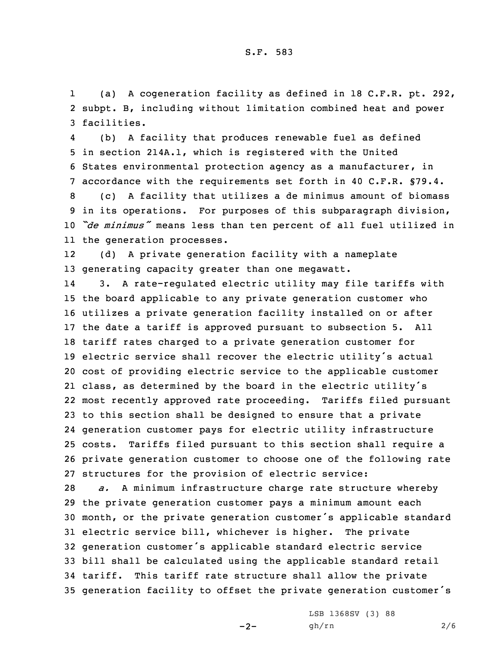1 (a) <sup>A</sup> cogeneration facility as defined in 18 C.F.R. pt. 292, 2 subpt. B, including without limitation combined heat and power 3 facilities.

4 (b) <sup>A</sup> facility that produces renewable fuel as defined in section 214A.1, which is registered with the United States environmental protection agency as <sup>a</sup> manufacturer, in accordance with the requirements set forth in 40 C.F.R. §79.4. (c) <sup>A</sup> facility that utilizes <sup>a</sup> de minimus amount of biomass in its operations. For purposes of this subparagraph division,

<sup>10</sup> *"de minimus"* means less than ten percent of all fuel utilized in 11 the generation processes.

12 (d) <sup>A</sup> private generation facility with <sup>a</sup> nameplate 13 generating capacity greater than one megawatt.

14 3. <sup>A</sup> rate-regulated electric utility may file tariffs with the board applicable to any private generation customer who utilizes <sup>a</sup> private generation facility installed on or after the date <sup>a</sup> tariff is approved pursuant to subsection 5. All tariff rates charged to <sup>a</sup> private generation customer for electric service shall recover the electric utility's actual cost of providing electric service to the applicable customer class, as determined by the board in the electric utility's most recently approved rate proceeding. Tariffs filed pursuant to this section shall be designed to ensure that <sup>a</sup> private generation customer pays for electric utility infrastructure costs. Tariffs filed pursuant to this section shall require <sup>a</sup> private generation customer to choose one of the following rate structures for the provision of electric service:

 *a.* <sup>A</sup> minimum infrastructure charge rate structure whereby the private generation customer pays <sup>a</sup> minimum amount each month, or the private generation customer's applicable standard electric service bill, whichever is higher. The private generation customer's applicable standard electric service bill shall be calculated using the applicable standard retail tariff. This tariff rate structure shall allow the private generation facility to offset the private generation customer's

 $-2-$ 

LSB 1368SV (3) 88 gh/rn 2/6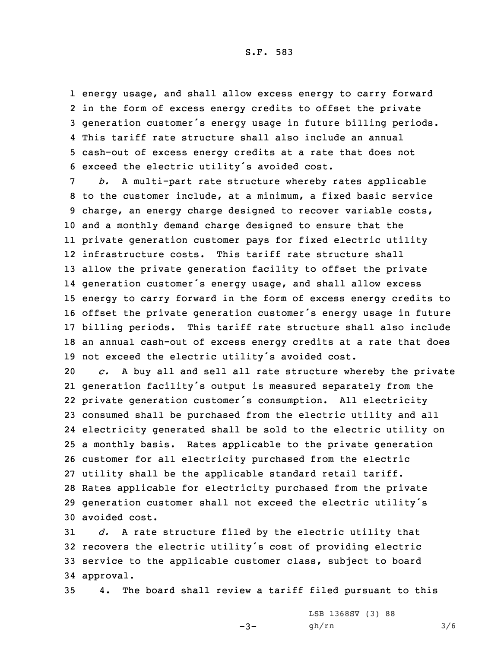S.F. 583

 energy usage, and shall allow excess energy to carry forward in the form of excess energy credits to offset the private generation customer's energy usage in future billing periods. This tariff rate structure shall also include an annual cash-out of excess energy credits at <sup>a</sup> rate that does not exceed the electric utility's avoided cost.

 *b.* <sup>A</sup> multi-part rate structure whereby rates applicable to the customer include, at <sup>a</sup> minimum, <sup>a</sup> fixed basic service charge, an energy charge designed to recover variable costs, and <sup>a</sup> monthly demand charge designed to ensure that the private generation customer pays for fixed electric utility infrastructure costs. This tariff rate structure shall allow the private generation facility to offset the private generation customer's energy usage, and shall allow excess energy to carry forward in the form of excess energy credits to offset the private generation customer's energy usage in future billing periods. This tariff rate structure shall also include an annual cash-out of excess energy credits at <sup>a</sup> rate that does not exceed the electric utility's avoided cost.

 *c.* <sup>A</sup> buy all and sell all rate structure whereby the private generation facility's output is measured separately from the private generation customer's consumption. All electricity consumed shall be purchased from the electric utility and all electricity generated shall be sold to the electric utility on <sup>a</sup> monthly basis. Rates applicable to the private generation customer for all electricity purchased from the electric utility shall be the applicable standard retail tariff. Rates applicable for electricity purchased from the private generation customer shall not exceed the electric utility's avoided cost.

 *d.* <sup>A</sup> rate structure filed by the electric utility that recovers the electric utility's cost of providing electric service to the applicable customer class, subject to board approval.

35 4. The board shall review <sup>a</sup> tariff filed pursuant to this

 $-3-$ 

LSB 1368SV (3) 88 gh/rn 3/6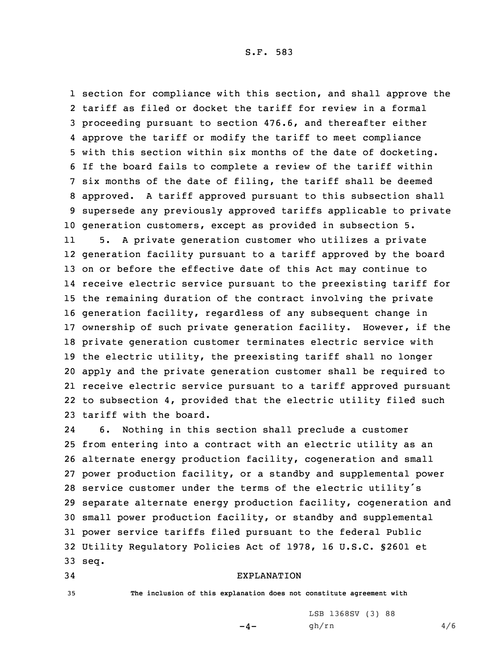S.F. 583

 section for compliance with this section, and shall approve the tariff as filed or docket the tariff for review in <sup>a</sup> formal proceeding pursuant to section 476.6, and thereafter either approve the tariff or modify the tariff to meet compliance with this section within six months of the date of docketing. If the board fails to complete <sup>a</sup> review of the tariff within six months of the date of filing, the tariff shall be deemed approved. <sup>A</sup> tariff approved pursuant to this subsection shall supersede any previously approved tariffs applicable to private generation customers, except as provided in subsection 5.

11 5. <sup>A</sup> private generation customer who utilizes <sup>a</sup> private generation facility pursuant to <sup>a</sup> tariff approved by the board on or before the effective date of this Act may continue to receive electric service pursuant to the preexisting tariff for the remaining duration of the contract involving the private generation facility, regardless of any subsequent change in ownership of such private generation facility. However, if the private generation customer terminates electric service with the electric utility, the preexisting tariff shall no longer apply and the private generation customer shall be required to receive electric service pursuant to <sup>a</sup> tariff approved pursuant to subsection 4, provided that the electric utility filed such tariff with the board.

24 6. Nothing in this section shall preclude <sup>a</sup> customer from entering into <sup>a</sup> contract with an electric utility as an alternate energy production facility, cogeneration and small power production facility, or <sup>a</sup> standby and supplemental power service customer under the terms of the electric utility's separate alternate energy production facility, cogeneration and small power production facility, or standby and supplemental power service tariffs filed pursuant to the federal Public Utility Regulatory Policies Act of 1978, 16 U.S.C. §2601 et 33 seq.

## 34 EXPLANATION

35 **The inclusion of this explanation does not constitute agreement with**

 $-4-$ 

LSB 1368SV (3) 88 gh/rn 4/6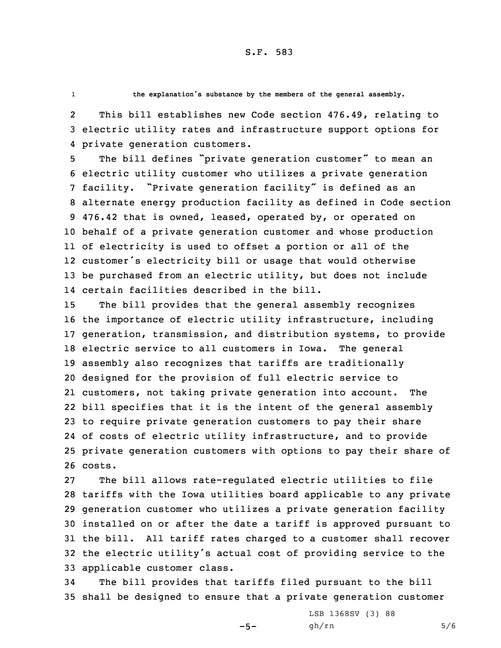1

**the explanation's substance by the members of the general assembly.**

2 This bill establishes new Code section 476.49, relating to 3 electric utility rates and infrastructure support options for 4 private generation customers.

 The bill defines "private generation customer" to mean an electric utility customer who utilizes <sup>a</sup> private generation facility. "Private generation facility" is defined as an alternate energy production facility as defined in Code section 476.42 that is owned, leased, operated by, or operated on behalf of <sup>a</sup> private generation customer and whose production of electricity is used to offset <sup>a</sup> portion or all of the customer's electricity bill or usage that would otherwise be purchased from an electric utility, but does not include certain facilities described in the bill.

 The bill provides that the general assembly recognizes the importance of electric utility infrastructure, including generation, transmission, and distribution systems, to provide electric service to all customers in Iowa. The general assembly also recognizes that tariffs are traditionally designed for the provision of full electric service to customers, not taking private generation into account. The bill specifies that it is the intent of the general assembly to require private generation customers to pay their share of costs of electric utility infrastructure, and to provide private generation customers with options to pay their share of 26 costs.

 The bill allows rate-regulated electric utilities to file tariffs with the Iowa utilities board applicable to any private generation customer who utilizes <sup>a</sup> private generation facility installed on or after the date <sup>a</sup> tariff is approved pursuant to the bill. All tariff rates charged to <sup>a</sup> customer shall recover the electric utility's actual cost of providing service to the applicable customer class.

34 The bill provides that tariffs filed pursuant to the bill 35 shall be designed to ensure that <sup>a</sup> private generation customer

 $-5-$ 

LSB 1368SV (3) 88 gh/rn 5/6